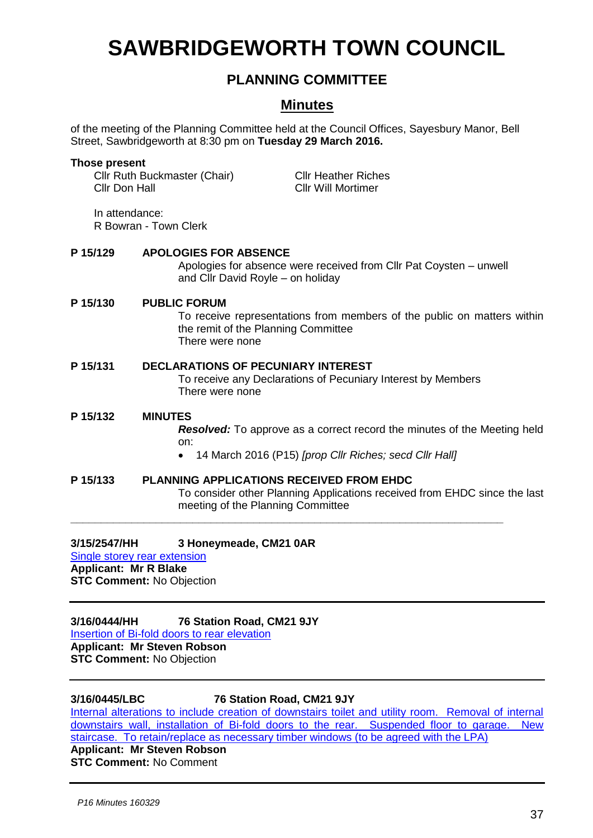# **SAWBRIDGEWORTH TOWN COUNCIL**

## **PLANNING COMMITTEE**

### **Minutes**

of the meeting of the Planning Committee held at the Council Offices, Sayesbury Manor, Bell Street, Sawbridgeworth at 8:30 pm on **Tuesday 29 March 2016.**

# **Those present** Cllr Ruth Buckmaster (Chair) Cllr Heather Riches Cllr Don Hall Cllr Will Mortimer In attendance: R Bowran - Town Clerk **P 15/129 APOLOGIES FOR ABSENCE** Apologies for absence were received from Cllr Pat Coysten – unwell and Cllr David Royle – on holiday **P 15/130 PUBLIC FORUM** To receive representations from members of the public on matters within the remit of the Planning Committee There were none **P 15/131 DECLARATIONS OF PECUNIARY INTEREST** To receive any Declarations of Pecuniary Interest by Members There were none **P 15/132 MINUTES** *Resolved:* To approve as a correct record the minutes of the Meeting held on: 14 March 2016 (P15) *[prop Cllr Riches; secd Cllr Hall]* **P 15/133 PLANNING APPLICATIONS RECEIVED FROM EHDC**

To consider other Planning Applications received from EHDC since the last meeting of the Planning Committee **\_\_\_\_\_\_\_\_\_\_\_\_\_\_\_\_\_\_\_\_\_\_\_\_\_\_\_\_\_\_\_\_\_\_\_\_\_\_\_\_\_\_\_\_\_\_\_\_\_\_\_\_\_\_\_\_\_\_\_\_\_\_\_\_\_\_\_\_\_\_\_**

**3/15/2547/HH 3 Honeymeade, CM21 0AR**

[Single storey rear extension](https://publicaccess.eastherts.gov.uk/online-applications/applicationDetails.do?activeTab=summary&keyVal=NZR6BSGL00X00)

**Applicant: Mr R Blake STC Comment:** No Objection

**3/16/0444/HH 76 Station Road, CM21 9JY** [Insertion of Bi-fold doors to rear elevation](https://publicaccess.eastherts.gov.uk/online-applications/applicationDetails.do?activeTab=summary&keyVal=O31W29GLISZ00) **Applicant: Mr Steven Robson STC Comment:** No Objection

#### **3/16/0445/LBC 76 Station Road, CM21 9JY**

[Internal alterations to include creation of downstairs toilet and utility room. Removal of internal](https://publicaccess.eastherts.gov.uk/online-applications/applicationDetails.do?activeTab=summary&keyVal=O31W2FGLIT000)  [downstairs wall, installation of Bi-fold doors to the rear. Suspended floor to garage. New](https://publicaccess.eastherts.gov.uk/online-applications/applicationDetails.do?activeTab=summary&keyVal=O31W2FGLIT000)  [staircase. To retain/replace as necessary timber windows \(to be agreed with the LPA\)](https://publicaccess.eastherts.gov.uk/online-applications/applicationDetails.do?activeTab=summary&keyVal=O31W2FGLIT000)

**Applicant: Mr Steven Robson STC Comment:** No Comment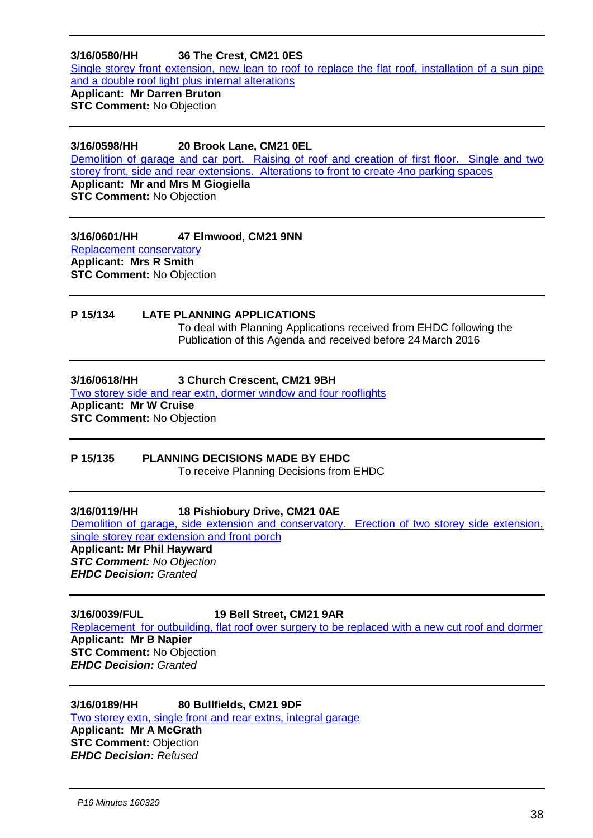#### **3/16/0580/HH 36 The Crest, CM21 0ES**

Single storey front extension, new lean to roof to replace the flat roof, installation of a sun pipe [and a double roof light plus internal alterations](https://publicaccess.eastherts.gov.uk/online-applications/applicationDetails.do?activeTab=summary&keyVal=O3TZ8EGLJ0900)

# **Applicant: Mr Darren Bruton**

**STC Comment:** No Objection

#### **3/16/0598/HH 20 Brook Lane, CM21 0EL**

[Demolition of garage and car port. Raising of roof and creation of first floor. Single and two](https://publicaccess.eastherts.gov.uk/online-applications/applicationDetails.do?activeTab=summary&keyVal=O3Z81GGLJ1M00)  [storey front, side and rear extensions. Alterations to front to create 4no parking spaces](https://publicaccess.eastherts.gov.uk/online-applications/applicationDetails.do?activeTab=summary&keyVal=O3Z81GGLJ1M00) **Applicant: Mr and Mrs M Giogiella STC Comment:** No Objection

**3/16/0601/HH 47 Elmwood, CM21 9NN**

[Replacement conservatory](https://publicaccess.eastherts.gov.uk/online-applications/applicationDetails.do?activeTab=summary&keyVal=O40XROGL00X00) **Applicant: Mrs R Smith STC Comment:** No Objection

### **P 15/134 LATE PLANNING APPLICATIONS**

To deal with Planning Applications received from EHDC following the Publication of this Agenda and received before 24 March 2016

#### **3/16/0618/HH 3 Church Crescent, CM21 9BH**

Two storey [side and rear extn, dormer window and four rooflights](https://publicaccess.eastherts.gov.uk/online-applications/applicationDetails.do?activeTab=summary&keyVal=O40XROGL00X00) **Applicant: Mr W Cruise STC Comment:** No Objection

#### **P 15/135 PLANNING DECISIONS MADE BY EHDC**

To receive Planning Decisions from EHDC

#### **3/16/0119/HH 18 Pishiobury Drive, CM21 0AE**

[Demolition of garage, side extension and conservatory. Erection of two storey side extension,](https://publicaccess.eastherts.gov.uk/online-applications/applicationDetails.do?activeTab=summary&keyVal=O17F3AGL00300)  [single storey rear extension and front porch](https://publicaccess.eastherts.gov.uk/online-applications/applicationDetails.do?activeTab=summary&keyVal=O17F3AGL00300)

#### **Applicant: Mr Phil Hayward**

*STC Comment: No Objection EHDC Decision: Granted*

#### **3/16/0039/FUL 19 Bell Street, CM21 9AR**

[Replacement for outbuilding, flat roof over surgery to be replaced with a new cut roof and dormer](https://publicaccess.eastherts.gov.uk/online-applications/applicationDetails.do?activeTab=summary&keyVal=O40XROGL00X00) **Applicant: Mr B Napier STC Comment:** No Objection *EHDC Decision: Granted*

#### **3/16/0189/HH 80 Bullfields, CM21 9DF**

[Two storey extn, single front and rear extns, integral garage](https://publicaccess.eastherts.gov.uk/online-applications/applicationDetails.do?activeTab=summary&keyVal=O40XROGL00X00) **Applicant: Mr A McGrath STC Comment: Objection** *EHDC Decision: Refused*